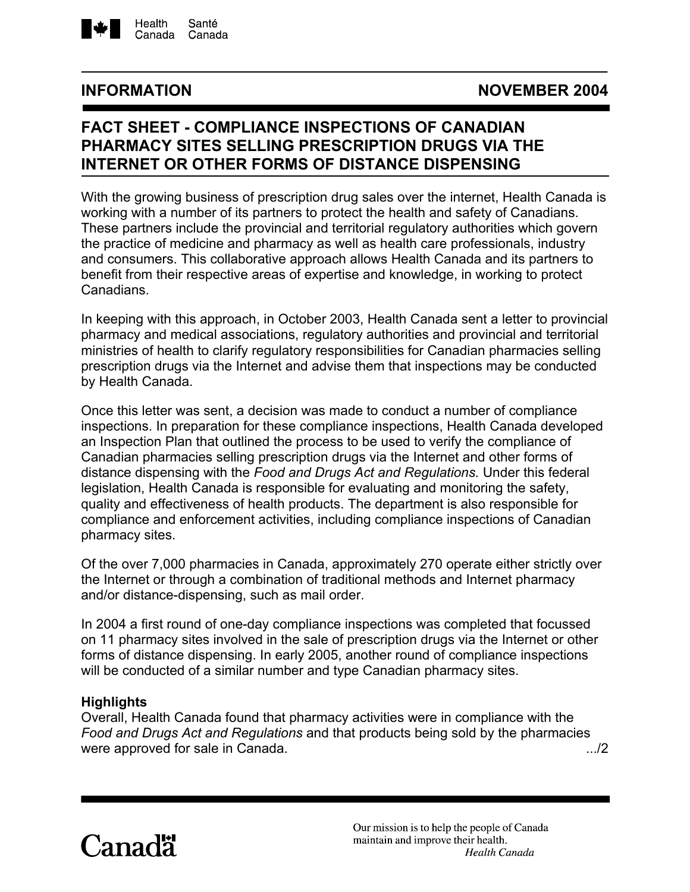

## **INFORMATION NOVEMBER 2004**

# **FACT SHEET - COMPLIANCE INSPECTIONS OF CANADIAN PHARMACY SITES SELLING PRESCRIPTION DRUGS VIA THE INTERNET OR OTHER FORMS OF DISTANCE DISPENSING**

With the growing business of prescription drug sales over the internet, Health Canada is working with a number of its partners to protect the health and safety of Canadians. These partners include the provincial and territorial regulatory authorities which govern the practice of medicine and pharmacy as well as health care professionals, industry and consumers. This collaborative approach allows Health Canada and its partners to benefit from their respective areas of expertise and knowledge, in working to protect Canadians.

In keeping with this approach, in October 2003, Health Canada sent a letter to provincial pharmacy and medical associations, regulatory authorities and provincial and territorial ministries of health to clarify regulatory responsibilities for Canadian pharmacies selling prescription drugs via the Internet and advise them that inspections may be conducted by Health Canada.

Once this letter was sent, a decision was made to conduct a number of compliance inspections. In preparation for these compliance inspections, Health Canada developed an Inspection Plan that outlined the process to be used to verify the compliance of Canadian pharmacies selling prescription drugs via the Internet and other forms of distance dispensing with the *Food and Drugs Act and Regulations.* Under this federal legislation, Health Canada is responsible for evaluating and monitoring the safety, quality and effectiveness of health products. The department is also responsible for compliance and enforcement activities, including compliance inspections of Canadian pharmacy sites.

Of the over 7,000 pharmacies in Canada, approximately 270 operate either strictly over the Internet or through a combination of traditional methods and Internet pharmacy and/or distance-dispensing, such as mail order.

In 2004 a first round of one-day compliance inspections was completed that focussed on 11 pharmacy sites involved in the sale of prescription drugs via the Internet or other forms of distance dispensing. In early 2005, another round of compliance inspections will be conducted of a similar number and type Canadian pharmacy sites.

#### **Highlights**

Overall, Health Canada found that pharmacy activities were in compliance with the *Food and Drugs Act and Regulations* and that products being sold by the pharmacies were approved for sale in Canada.  $\frac{1}{2}$ 

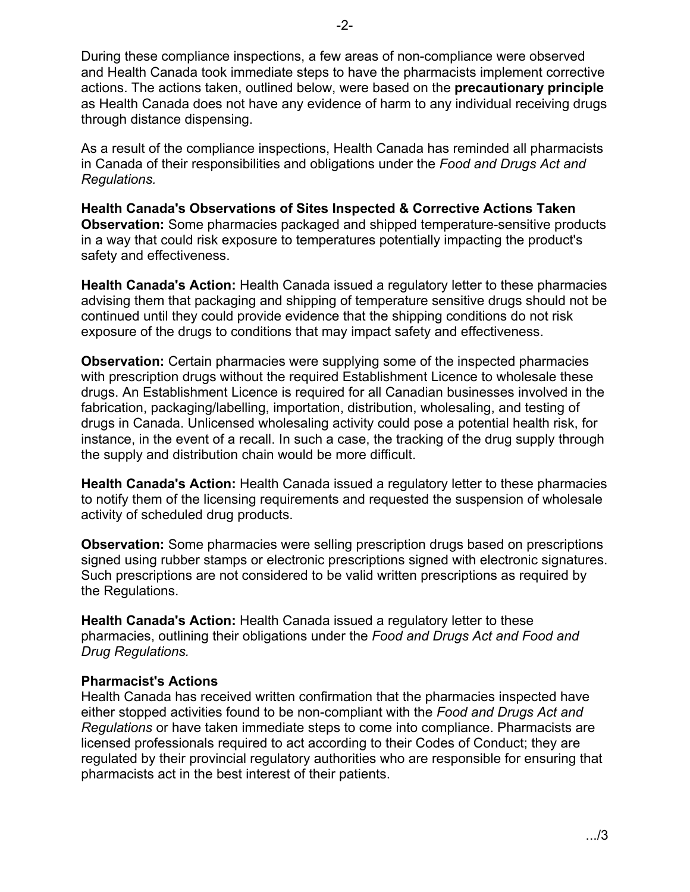-2-

During these compliance inspections, a few areas of non-compliance were observed and Health Canada took immediate steps to have the pharmacists implement corrective actions. The actions taken, outlined below, were based on the **precautionary principle** as Health Canada does not have any evidence of harm to any individual receiving drugs through distance dispensing.

As a result of the compliance inspections, Health Canada has reminded all pharmacists in Canada of their responsibilities and obligations under the *Food and Drugs Act and Regulations.*

**Health Canada's Observations of Sites Inspected & Corrective Actions Taken Observation:** Some pharmacies packaged and shipped temperature-sensitive products in a way that could risk exposure to temperatures potentially impacting the product's safety and effectiveness.

**Health Canada's Action:** Health Canada issued a regulatory letter to these pharmacies advising them that packaging and shipping of temperature sensitive drugs should not be continued until they could provide evidence that the shipping conditions do not risk exposure of the drugs to conditions that may impact safety and effectiveness.

**Observation:** Certain pharmacies were supplying some of the inspected pharmacies with prescription drugs without the required Establishment Licence to wholesale these drugs. An Establishment Licence is required for all Canadian businesses involved in the fabrication, packaging/labelling, importation, distribution, wholesaling, and testing of drugs in Canada. Unlicensed wholesaling activity could pose a potential health risk, for instance, in the event of a recall. In such a case, the tracking of the drug supply through the supply and distribution chain would be more difficult.

**Health Canada's Action:** Health Canada issued a regulatory letter to these pharmacies to notify them of the licensing requirements and requested the suspension of wholesale activity of scheduled drug products.

**Observation:** Some pharmacies were selling prescription drugs based on prescriptions signed using rubber stamps or electronic prescriptions signed with electronic signatures. Such prescriptions are not considered to be valid written prescriptions as required by the Regulations.

**Health Canada's Action:** Health Canada issued a regulatory letter to these pharmacies, outlining their obligations under the *Food and Drugs Act and Food and Drug Regulations.* 

### **Pharmacist's Actions**

Health Canada has received written confirmation that the pharmacies inspected have either stopped activities found to be non-compliant with the *Food and Drugs Act and Regulations* or have taken immediate steps to come into compliance. Pharmacists are licensed professionals required to act according to their Codes of Conduct; they are regulated by their provincial regulatory authorities who are responsible for ensuring that pharmacists act in the best interest of their patients.